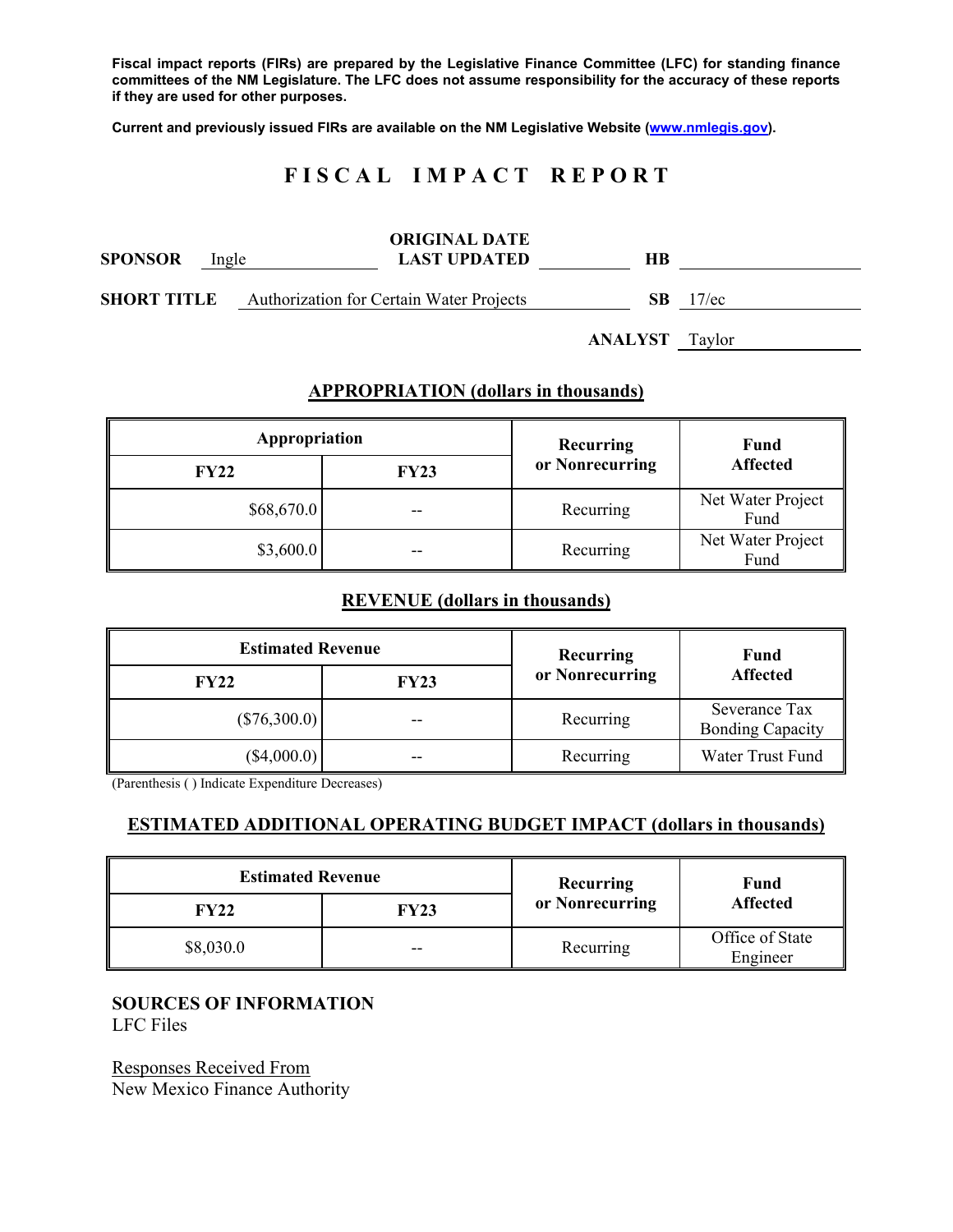**Fiscal impact reports (FIRs) are prepared by the Legislative Finance Committee (LFC) for standing finance committees of the NM Legislature. The LFC does not assume responsibility for the accuracy of these reports if they are used for other purposes.** 

**Current and previously issued FIRs are available on the NM Legislative Website (www.nmlegis.gov).** 

# **F I S C A L I M P A C T R E P O R T**

| <b>SPONSOR</b>     | Ingle | <b>ORIGINAL DATE</b><br><b>LAST UPDATED</b> | HВ  |          |
|--------------------|-------|---------------------------------------------|-----|----------|
| <b>SHORT TITLE</b> |       | Authorization for Certain Water Projects    | -SB | $17$ /ec |

**ANALYST** Taylor

## **APPROPRIATION (dollars in thousands)**

| Appropriation |             | Recurring<br>or Nonrecurring | Fund<br><b>Affected</b>   |
|---------------|-------------|------------------------------|---------------------------|
| <b>FY22</b>   | <b>FY23</b> |                              |                           |
| \$68,670.0    | $- -$       | Recurring                    | Net Water Project<br>Fund |
| \$3,600.0     | $- -$       | Recurring                    | Net Water Project<br>Fund |

## **REVENUE (dollars in thousands)**

| <b>Estimated Revenue</b> |             | Recurring<br>or Nonrecurring | Fund<br><b>Affected</b>                  |
|--------------------------|-------------|------------------------------|------------------------------------------|
| <b>FY22</b>              | <b>FY23</b> |                              |                                          |
| $(*76,300.0)$            | --          | Recurring                    | Severance Tax<br><b>Bonding Capacity</b> |
| $(\$4,000.0)$            | --          | Recurring                    | Water Trust Fund                         |

(Parenthesis ( ) Indicate Expenditure Decreases)

## **ESTIMATED ADDITIONAL OPERATING BUDGET IMPACT (dollars in thousands)**

| <b>Estimated Revenue</b> |       | Recurring       | Fund<br><b>Affected</b>     |
|--------------------------|-------|-----------------|-----------------------------|
| FY22                     | FY23  | or Nonrecurring |                             |
| \$8,030.0                | $- -$ | Recurring       | Office of State<br>Engineer |

## **SOURCES OF INFORMATION**

LFC Files

Responses Received From New Mexico Finance Authority